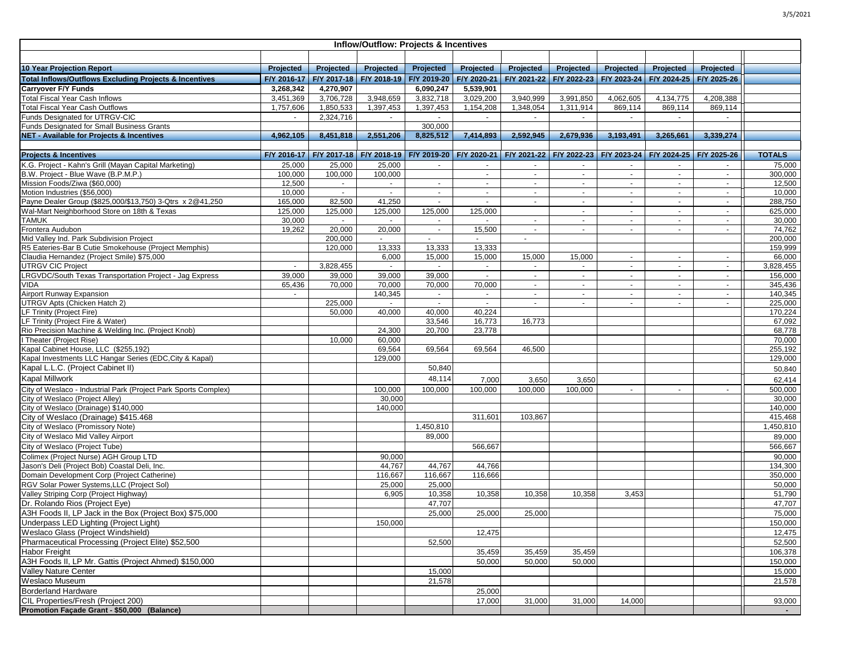| Inflow/Outflow: Projects & Incentives                             |             |                                                                     |             |                |             |                |                                                             |                |             |                |               |
|-------------------------------------------------------------------|-------------|---------------------------------------------------------------------|-------------|----------------|-------------|----------------|-------------------------------------------------------------|----------------|-------------|----------------|---------------|
|                                                                   |             |                                                                     |             |                |             |                |                                                             |                |             |                |               |
| <b>10 Year Projection Report</b>                                  | Projected   | Projected                                                           | Projected   | Projected      | Projected   | Projected      | Projected                                                   | Projected      | Projected   | Projected      |               |
| <b>Total Inflows/Outflows Excluding Projects &amp; Incentives</b> | F/Y 2016-17 | F/Y 2017-18                                                         | F/Y 2018-19 | F/Y 2019-20    | F/Y 2020-21 | F/Y 2021-22    | F/Y 2022-23                                                 | F/Y 2023-24    | F/Y 2024-25 | F/Y 2025-26    |               |
| <b>Carryover F/Y Funds</b>                                        | 3,268,342   | 4,270,907                                                           |             | 6,090,247      | 5,539,901   |                |                                                             |                |             |                |               |
| <b>Total Fiscal Year Cash Inflows</b>                             | 3.451.369   | 3,706,728                                                           | 3,948,659   | 3,832,718      | 3,029,200   | 3,940,999      | 3,991,850                                                   | 4,062,605      | 4,134,775   | 4,208,388      |               |
| <b>Total Fiscal Year Cash Outflows</b>                            | 1,757,606   | 1,850,533                                                           | 1,397,453   | 1,397,453      | 1,154,208   | 1,348,054      | 1,311,914                                                   | 869,114        | 869,114     | 869,114        |               |
| Funds Designated for UTRGV-CIC                                    | $\sim$      | 2,324,716                                                           | $\sim$      | $\sim$         | $\sim$      | $\sim$         | $\sim$                                                      | $\sim$         | $\sim$      | $\sim$         |               |
| Funds Designated for Small Business Grants                        |             |                                                                     |             | 300,000        |             |                |                                                             |                |             |                |               |
| NET - Available for Projects & Incentives                         | 4,962,105   | 8,451,818                                                           | 2,551,206   | 8,825,512      | 7,414,893   | 2,592,945      | 2,679,936                                                   | 3,193,491      | 3,265,661   | 3,339,274      |               |
|                                                                   |             |                                                                     |             |                |             |                |                                                             |                |             |                |               |
| <b>Projects &amp; Incentives</b>                                  |             | F/Y 2016-17   F/Y 2017-18   F/Y 2018-19   F/Y 2019-20   F/Y 2020-21 |             |                |             |                | F/Y 2021-22 F/Y 2022-23 F/Y 2023-24 F/Y 2024-25 F/Y 2025-26 |                |             |                | <b>TOTALS</b> |
| K.G. Project - Kahn's Grill (Mayan Capital Marketing)             | 25,000      | 25,000                                                              | 25,000      | $\sim$         | $\sim$      | $\sim$         | $\sim$                                                      | $\sim$         | $\sim$      | $\sim$         | 75,000        |
| B.W. Project - Blue Wave (B.P.M.P.)                               | 100,000     | 100,000                                                             | 100,000     |                | $\sim$      | $\sim$         | $\sim$                                                      | $\sim$         | $\sim$      | $\sim$         | 300,000       |
| Mission Foods/Ziwa (\$60,000)                                     | 12,500      | $\sim$                                                              | $\sim$      | $\sim$         | $\sim$      | $\sim$         | $\blacksquare$                                              | $\sim$         | $\sim$      | $\blacksquare$ | 12,500        |
| Motion Industries (\$56,000)                                      | 10.000      | $\omega$                                                            |             | $\blacksquare$ | $\sim$      | $\sim$         | $\omega$                                                    | $\blacksquare$ | $\sim$      | $\blacksquare$ | 10,000        |
| Payne Dealer Group (\$825,000/\$13,750) 3-Qtrs x 2@41,250         | 165,000     | 82,500                                                              | 41,250      | $\sim$         | $\sim$      | $\sim$         | $\sim$                                                      | $\sim$         | $\sim$      | $\sim$         | 288,750       |
| Wal-Mart Neighborhood Store on 18th & Texas                       | 125,000     | 125,000                                                             | 125,000     | 125,000        | 125,000     |                | $\sim$                                                      | $\sim$         | $\sim$      | $\sim$         | 625,000       |
| TAMUK                                                             | 30,000      | $\sim$                                                              | $\sim$      | $\sim$         | $\sim$      | $\sim$         | $\sim$                                                      | $\sim$         | $\sim$      | $\sim$         | 30,000        |
| Frontera Audubon                                                  | 19,262      | 20,000                                                              | 20,000      | $\sim$         | 15,500      | $\sim$         | $\sim$                                                      | $\sim$         | $\sim$      | $\sim$         | 74,762        |
| Mid Valley Ind. Park Subdivision Project                          |             | 200,000                                                             |             |                |             | $\blacksquare$ |                                                             |                |             |                | 200,000       |
| R5 Eateries-Bar B Cutie Smokehouse (Project Memphis)              |             | 120,000                                                             | 13,333      | 13,333         | 13,333      |                |                                                             |                |             |                | 159,999       |
| Claudia Hernandez (Project Smile) \$75,000                        |             |                                                                     | 6,000       | 15,000         | 15,000      | 15,000         | 15,000                                                      | $\sim$         | $\sim$      | $\sim$         | 66,000        |
| <b>UTRGV CIC Project</b>                                          | $\sim$      | 3,828,455                                                           | $\sim$      | $\sim$         | $\sim$      | $\sim$         | $\sim$                                                      | $\sim$         | $\sim$      | $\sim$         | 3,828,455     |
| LRGVDC/South Texas Transportation Project - Jag Express           | 39,000      | 39,000                                                              | 39,000      | 39,000         | $\sim$      | $\sim$         | $\sim$                                                      | $\sim$         | $\sim$      | $\sim$         | 156,000       |
| VIDA                                                              | 65,436      | 70,000                                                              | 70,000      | 70,000         | 70,000      | $\sim$         | $\sim$                                                      | $\sim$         | $\sim$      | $\sim$         | 345,436       |
| Airport Runway Expansion                                          | $\sim$      |                                                                     | 140,345     | $\sim$         | $\sim$      | $\sim$         | $\sim$                                                      | $\sim$         | $\sim$      | $\sim$         | 140,345       |
| UTRGV Apts (Chicken Hatch 2)                                      |             | 225,000                                                             |             | $\omega$       |             |                |                                                             |                |             |                | 225,000       |
| LF Trinity (Project Fire)                                         |             | 50,000                                                              | 40,000      | 40,000         | 40,224      |                |                                                             |                |             |                | 170,224       |
| LF Trinity (Project Fire & Water)                                 |             |                                                                     |             | 33,546         | 16,773      | 16,773         |                                                             |                |             |                | 67,092        |
| Rio Precision Machine & Welding Inc. (Project Knob)               |             |                                                                     | 24,300      | 20,700         | 23,778      |                |                                                             |                |             |                | 68,778        |
| I Theater (Project Rise)                                          |             | 10,000                                                              | 60,000      |                |             |                |                                                             |                |             |                | 70,000        |
| Kapal Cabinet House, LLC (\$255,192)                              |             |                                                                     | 69,564      | 69,564         | 69,564      | 46,500         |                                                             |                |             |                | 255,192       |
| Kapal Investments LLC Hangar Series (EDC, City & Kapal)           |             |                                                                     | 129,000     |                |             |                |                                                             |                |             |                | 129,000       |
| Kapal L.L.C. (Project Cabinet II)                                 |             |                                                                     |             | 50,840         |             |                |                                                             |                |             |                | 50,840        |
| <b>Kapal Millwork</b>                                             |             |                                                                     |             | 48,114         | 7,000       | 3,650          | 3,650                                                       |                |             |                | 62,414        |
| City of Weslaco - Industrial Park (Project Park Sports Complex)   |             |                                                                     | 100,000     | 100,000        | 100,000     | 100,000        | 100,000                                                     | $\sim$         | $\sim$      | $\sim$         | 500,000       |
| City of Weslaco (Project Alley)                                   |             |                                                                     | 30,000      |                |             |                |                                                             |                |             |                | 30,000        |
| City of Weslaco (Drainage) \$140,000                              |             |                                                                     | 140,000     |                |             |                |                                                             |                |             |                | 140,000       |
| City of Weslaco (Drainage) \$415.468                              |             |                                                                     |             |                | 311,601     | 103,867        |                                                             |                |             |                | 415,468       |
| City of Weslaco (Promissory Note)                                 |             |                                                                     |             | 1,450,810      |             |                |                                                             |                |             |                | 1,450,810     |
| City of Weslaco Mid Valley Airport                                |             |                                                                     |             | 89,000         |             |                |                                                             |                |             |                | 89,000        |
| City of Weslaco (Project Tube)                                    |             |                                                                     |             |                | 566,667     |                |                                                             |                |             |                | 566,667       |
| Colimex (Project Nurse) AGH Group LTD                             |             |                                                                     | 90,000      |                |             |                |                                                             |                |             |                | 90,000        |
| Jason's Deli (Project Bob) Coastal Deli, Inc.                     |             |                                                                     | 44,767      | 44,767         | 44,766      |                |                                                             |                |             |                | 134,300       |
| Domain Development Corp (Project Catherine)                       |             |                                                                     | 116,667     | 116,667        | 116,666     |                |                                                             |                |             |                | 350,000       |
| RGV Solar Power Systems, LLC (Project Sol)                        |             |                                                                     | 25,000      | 25,000         |             |                |                                                             |                |             |                | 50,000        |
| Valley Striping Corp (Project Highway)                            |             |                                                                     | 6,905       | 10,358         | 10,358      | 10,358         | 10,358                                                      | 3,453          |             |                | 51,790        |
| Dr. Rolando Rios (Project Eye)                                    |             |                                                                     |             | 47,707         |             |                |                                                             |                |             |                | 47,707        |
| A3H Foods II, LP Jack in the Box (Project Box) \$75,000           |             |                                                                     |             | 25,000         | 25,000      | 25,000         |                                                             |                |             |                | 75,000        |
| Underpass LED Lighting (Project Light)                            |             |                                                                     | 150,000     |                |             |                |                                                             |                |             |                | 150,000       |
| Weslaco Glass (Project Windshield)                                |             |                                                                     |             |                | 12,475      |                |                                                             |                |             |                | 12,475        |
| Pharmaceutical Processing (Project Elite) \$52,500                |             |                                                                     |             | 52,500         |             |                |                                                             |                |             |                | 52,500        |
| <b>Habor Freight</b>                                              |             |                                                                     |             |                | 35,459      | 35,459         | 35,459                                                      |                |             |                | 106,378       |
| A3H Foods II. LP Mr. Gattis (Proiect Ahmed) \$150,000             |             |                                                                     |             |                | 50,000      | 50,000         | 50,000                                                      |                |             |                | 150,000       |
| <b>Vallev Nature Center</b>                                       |             |                                                                     |             | 15,000         |             |                |                                                             |                |             |                | 15,000        |
| Weslaco Museum                                                    |             |                                                                     |             |                |             |                |                                                             |                |             |                |               |
|                                                                   |             |                                                                     |             | 21,578         |             |                |                                                             |                |             |                | 21,578        |
| <b>Borderland Hardware</b>                                        |             |                                                                     |             |                | 25,000      |                |                                                             |                |             |                |               |
| CIL Properties/Fresh (Project 200)                                |             |                                                                     |             |                | 17,000      | 31,000         | 31,000                                                      | 14,000         |             |                | 93,000        |
| Promotion Façade Grant - \$50,000 (Balance)                       |             |                                                                     |             |                |             |                |                                                             |                |             |                | $\sim$        |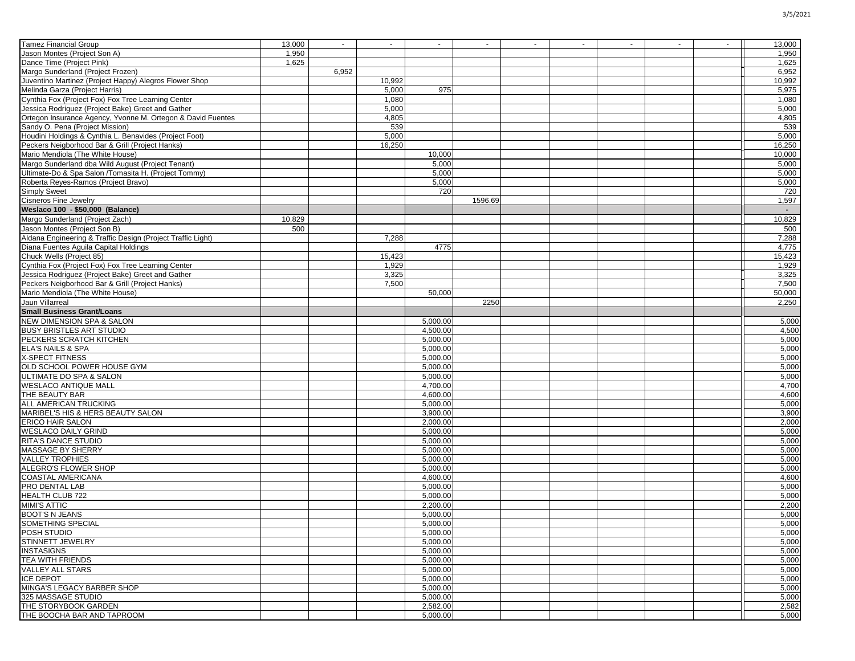| <b>Tamez Financial Group</b>                                | 13,000 | $\sim$ | $\sim$ | $\sim$   | $\sim$  | $\sim$ | $\sim$ | $\sim$ | $\sim$ | $\sim$ | 13,000 |
|-------------------------------------------------------------|--------|--------|--------|----------|---------|--------|--------|--------|--------|--------|--------|
| Jason Montes (Project Son A)                                | 1,950  |        |        |          |         |        |        |        |        |        | 1,950  |
| Dance Time (Project Pink)                                   |        |        |        |          |         |        |        |        |        |        |        |
|                                                             | 1,625  |        |        |          |         |        |        |        |        |        | 1,625  |
| Margo Sunderland (Project Frozen)                           |        | 6,952  |        |          |         |        |        |        |        |        | 6,952  |
| Juventino Martinez (Project Happy) Alegros Flower Shop      |        |        | 10,992 |          |         |        |        |        |        |        | 10,992 |
| Melinda Garza (Project Harris)                              |        |        | 5,000  | 975      |         |        |        |        |        |        | 5,975  |
| Cynthia Fox (Project Fox) Fox Tree Learning Center          |        |        | 1,080  |          |         |        |        |        |        |        | 1,080  |
| Jessica Rodriguez (Project Bake) Greet and Gather           |        |        | 5,000  |          |         |        |        |        |        |        | 5,000  |
| Ortegon Insurance Agency, Yvonne M. Ortegon & David Fuentes |        |        | 4,805  |          |         |        |        |        |        |        | 4,805  |
| Sandy O. Pena (Project Mission)                             |        |        | 539    |          |         |        |        |        |        |        | 539    |
| Houdini Holdings & Cynthia L. Benavides (Project Foot)      |        |        | 5,000  |          |         |        |        |        |        |        | 5,000  |
| Peckers Neigborhood Bar & Grill (Project Hanks)             |        |        | 16,250 |          |         |        |        |        |        |        | 16,250 |
| Mario Mendiola (The White House)                            |        |        |        | 10,000   |         |        |        |        |        |        | 10,000 |
| Margo Sunderland dba Wild August (Project Tenant)           |        |        |        | 5,000    |         |        |        |        |        |        | 5,000  |
| Ultimate-Do & Spa Salon /Tomasita H. (Project Tommy)        |        |        |        | 5,000    |         |        |        |        |        |        | 5,000  |
| Roberta Reves-Ramos (Project Bravo)                         |        |        |        |          |         |        |        |        |        |        |        |
|                                                             |        |        |        | 5,000    |         |        |        |        |        |        | 5,000  |
| <b>Simply Sweet</b>                                         |        |        |        | 720      |         |        |        |        |        |        | 720    |
| <b>Cisneros Fine Jewelry</b>                                |        |        |        |          | 1596.69 |        |        |        |        |        | 1,597  |
| Weslaco 100 - \$50,000 (Balance)                            |        |        |        |          |         |        |        |        |        |        | $\sim$ |
| Margo Sunderland (Project Zach)                             | 10,829 |        |        |          |         |        |        |        |        |        | 10,829 |
| Jason Montes (Project Son B)                                | 500    |        |        |          |         |        |        |        |        |        | 500    |
| Aldana Engineering & Traffic Design (Project Traffic Light) |        |        | 7,288  |          |         |        |        |        |        |        | 7,288  |
| Diana Fuentes Aguila Capital Holdings                       |        |        |        | 4775     |         |        |        |        |        |        | 4,775  |
| Chuck Wells (Project 85)                                    |        |        | 15,423 |          |         |        |        |        |        |        | 15,423 |
| Cynthia Fox (Project Fox) Fox Tree Learning Center          |        |        | 1,929  |          |         |        |        |        |        |        | 1,929  |
| Jessica Rodriguez (Project Bake) Greet and Gather           |        |        | 3,325  |          |         |        |        |        |        |        | 3,325  |
| Peckers Neigborhood Bar & Grill (Project Hanks)             |        |        | 7,500  |          |         |        |        |        |        |        | 7,500  |
| Mario Mendiola (The White House)                            |        |        |        | 50,000   |         |        |        |        |        |        | 50,000 |
| Jaun Villarreal                                             |        |        |        |          | 2250    |        |        |        |        |        | 2,250  |
| <b>Small Business Grant/Loans</b>                           |        |        |        |          |         |        |        |        |        |        |        |
|                                                             |        |        |        |          |         |        |        |        |        |        |        |
| <b>NEW DIMENSION SPA &amp; SALON</b>                        |        |        |        | 5,000.00 |         |        |        |        |        |        | 5,000  |
| <b>BUSY BRISTLES ART STUDIO</b>                             |        |        |        | 4,500.00 |         |        |        |        |        |        | 4,500  |
| PECKERS SCRATCH KITCHEN                                     |        |        |        | 5,000.00 |         |        |        |        |        |        | 5,000  |
| ELA'S NAILS & SPA                                           |        |        |        | 5,000.00 |         |        |        |        |        |        | 5,000  |
| X-SPECT FITNESS                                             |        |        |        | 5,000.00 |         |        |        |        |        |        | 5,000  |
| OLD SCHOOL POWER HOUSE GYM                                  |        |        |        | 5,000.00 |         |        |        |        |        |        | 5,000  |
| ULTIMATE DO SPA & SALON                                     |        |        |        | 5,000.00 |         |        |        |        |        |        | 5,000  |
| <b>WESLACO ANTIQUE MALL</b>                                 |        |        |        | 4,700.00 |         |        |        |        |        |        | 4,700  |
| THE BEAUTY BAR                                              |        |        |        | 4,600.00 |         |        |        |        |        |        | 4,600  |
| ALL AMERICAN TRUCKING                                       |        |        |        | 5,000.00 |         |        |        |        |        |        | 5,000  |
| MARIBEL'S HIS & HERS BEAUTY SALON                           |        |        |        | 3,900.00 |         |        |        |        |        |        | 3,900  |
| <b>ERICO HAIR SALON</b>                                     |        |        |        | 2,000.00 |         |        |        |        |        |        | 2,000  |
| <b>WESLACO DAILY GRIND</b>                                  |        |        |        | 5,000.00 |         |        |        |        |        |        | 5,000  |
| <b>RITA'S DANCE STUDIO</b>                                  |        |        |        | 5,000.00 |         |        |        |        |        |        | 5,000  |
| MASSAGE BY SHERRY                                           |        |        |        | 5,000.00 |         |        |        |        |        |        | 5,000  |
| <b>VALLEY TROPHIES</b>                                      |        |        |        | 5,000.00 |         |        |        |        |        |        | 5,000  |
| ALEGRO'S FLOWER SHOP                                        |        |        |        |          |         |        |        |        |        |        |        |
|                                                             |        |        |        | 5,000.00 |         |        |        |        |        |        | 5,000  |
| <b>COASTAL AMERICANA</b>                                    |        |        |        | 4,600.00 |         |        |        |        |        |        | 4,600  |
| PRO DENTAL LAB                                              |        |        |        | 5,000.00 |         |        |        |        |        |        | 5,000  |
| <b>HEALTH CLUB 722</b>                                      |        |        |        | 5,000.00 |         |        |        |        |        |        | 5,000  |
| <b>MIMI'S ATTIC</b>                                         |        |        |        | 2,200.00 |         |        |        |        |        |        | 2,200  |
| <b>BOOT'S N JEANS</b>                                       |        |        |        | 5,000.00 |         |        |        |        |        |        | 5,000  |
| SOMETHING SPECIAL                                           |        |        |        | 5,000.00 |         |        |        |        |        |        | 5,000  |
| POSH STUDIO                                                 |        |        |        | 5,000.00 |         |        |        |        |        |        | 5,000  |
| STINNETT JEWELRY                                            |        |        |        | 5,000.00 |         |        |        |        |        |        | 5,000  |
| <b>INSTASIGNS</b>                                           |        |        |        | 5,000.00 |         |        |        |        |        |        | 5,000  |
| TEA WITH FRIENDS                                            |        |        |        | 5,000.00 |         |        |        |        |        |        | 5,000  |
| <b>VALLEY ALL STARS</b>                                     |        |        |        | 5,000.00 |         |        |        |        |        |        | 5,000  |
| <b>ICE DEPOT</b>                                            |        |        |        | 5,000.00 |         |        |        |        |        |        | 5,000  |
| MINGA'S LEGACY BARBER SHOP                                  |        |        |        | 5,000.00 |         |        |        |        |        |        | 5,000  |
| 325 MASSAGE STUDIO                                          |        |        |        | 5,000.00 |         |        |        |        |        |        | 5,000  |
| THE STORYBOOK GARDEN                                        |        |        |        | 2,582.00 |         |        |        |        |        |        | 2,582  |
| THE BOOCHA BAR AND TAPROOM                                  |        |        |        | 5,000.00 |         |        |        |        |        |        | 5,000  |
|                                                             |        |        |        |          |         |        |        |        |        |        |        |